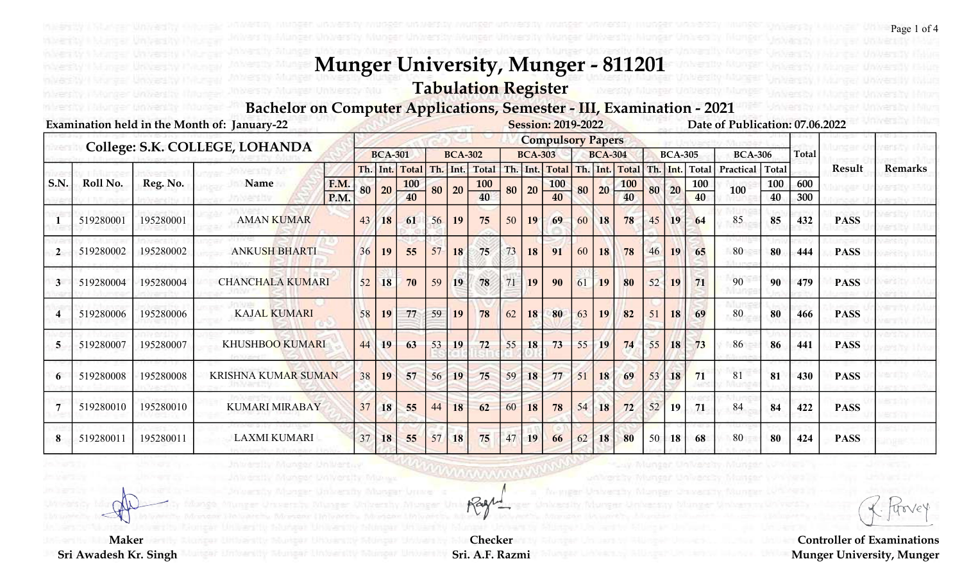Tabulation Register

Bachelor on Computer Applications, Semester - III, Examination - 2021

|                |           |           | Examination held in the Month of: January-22 |                     |    |                |                  |    |                |           |    |                | <b>Session: 2019-2022</b> |     |                |                  |     |                |              | Date of Publication: 07.06.2022 |              |              |             |                |
|----------------|-----------|-----------|----------------------------------------------|---------------------|----|----------------|------------------|----|----------------|-----------|----|----------------|---------------------------|-----|----------------|------------------|-----|----------------|--------------|---------------------------------|--------------|--------------|-------------|----------------|
|                |           |           | College: S.K. COLLEGE, LOHANDA               |                     |    |                |                  |    |                |           |    |                | <b>Compulsory Papers</b>  |     |                |                  |     |                |              |                                 |              |              |             |                |
|                |           |           |                                              |                     |    | <b>BCA-301</b> |                  |    | <b>BCA-302</b> |           |    | <b>BCA-303</b> |                           |     | <b>BCA-304</b> |                  |     | <b>BCA-305</b> |              | <b>BCA-306</b>                  |              | <b>Total</b> |             |                |
|                |           |           |                                              |                     |    | Th. Int.       | <b>Total</b>     |    | Th. Int.       | Total     |    |                | Th. Int. Total            | Th. |                | Int. Total       | Th. | Int.           | <b>Total</b> | Practical                       | <b>Total</b> |              | Result      | <b>Remarks</b> |
| S.N.           | Roll No.  | Reg. No.  | Name                                         | <b>F.M.</b><br>P.M. | 80 | 20             | <b>100</b><br>40 | 80 | 20             | 100<br>40 | 80 | 20             | <b>100</b><br>40          | 80  | 20             | <b>100</b><br>40 | 80  | 20             | 100<br>40    | 100                             | 100<br>40    | 600<br>300   |             |                |
|                | 519280001 | 195280001 | <b>AMAN KUMAR</b>                            |                     | 43 | 18             | 61               | 56 | 19             | 75        | 50 | 19             | 69                        | 60  | 18             | 78               | 45  | 19             | 64           | 85                              | 85           | 432          | <b>PASS</b> |                |
| $\overline{2}$ | 519280002 | 195280002 | <b>ANKUSH BHARTI</b>                         |                     | 36 | 19             | 55               | 57 | 18             | 75        | 73 | 18             | 91                        | 60  | 18             | 78               | 46  | 19             | 65           | 80                              | 80           | 444          | <b>PASS</b> |                |
| 3              | 519280004 | 195280004 | <b>CHANCHALA KUMARI</b>                      |                     | 52 | 18             | 70               | 59 | 19             | 78        | 71 | 19             | 90                        | 61  | 19             | 80               | 52  | 19             | 71           | 90                              | 90           | 479          | <b>PASS</b> |                |
|                | 519280006 | 195280006 | <b>KAJAL KUMARI</b>                          |                     | 58 | 19             | 77               | 59 | <b>19</b>      | 78        | 62 | 18             | 80                        | 63  | 19             | 82               | 51  | 18             | 69           | 80                              | 80           | 466          | <b>PASS</b> |                |
| 5              | 519280007 | 195280007 | <b>KHUSHBOO KUMARI</b>                       |                     | 44 | 19             | 63               | 53 | 19             | 72        | 55 | 18             | 73                        | 55  | 19             | 74               | 55  | 18             | 73           | 86                              | 86           | 441          | <b>PASS</b> |                |
|                | 519280008 | 195280008 | <b>KRISHNA KUMAR SUMAN</b>                   |                     | 38 | 19             | 57               | 56 | 19             | 75        | 59 | 18             | 77                        | 51  | 18             | 69               | 53  | 18             | 71           | 81                              | 81           | 430          | <b>PASS</b> |                |
|                | 519280010 | 195280010 | <b>KUMARI MIRABAY</b>                        |                     | 37 | 18             | 55               | 44 | 18             | 62        | 60 | 18             | 78                        | 54  | 18             | 72               | 52  | <b>19</b>      | 71           | 84                              | 84           | 422          | <b>PASS</b> |                |
| 8              | 519280011 | 195280011 | <b>LAXMI KUMARI</b>                          |                     | 37 | 18             | 55               | 57 | 18             | 75        | 47 | 19             | 66                        | 62  | 18             | 80               | 50  | 18             | 68           | 80                              | 80           | 424          | <b>PASS</b> |                |

Page 1 of 4

Controller of Examinations Munger University, Munger

 Maker Sri Awadesh Kr. Singh

Checker Sri. A.F. Razmi

maaann

Rage

Monger UnWertwy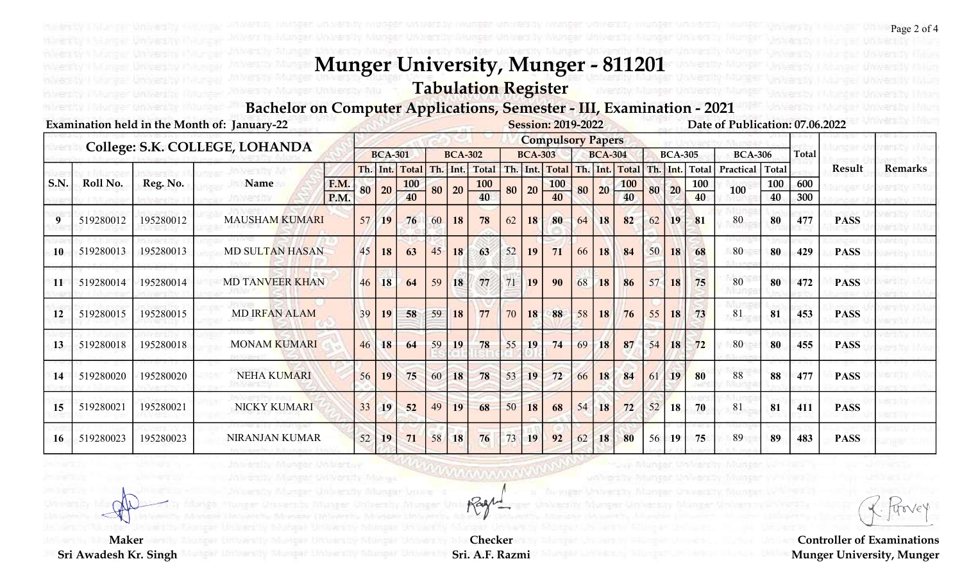Tabulation Register

Bachelor on Computer Applications, Semester - III, Examination - 2021

|      |           | Examination held in the Month of: January-22<br><b>Session: 2019-2022</b> |                                |                     |    |                |                  |    |                |           |    |                |                          |    |                |                  |     |                |            | Date of Publication: 07.06.2022 |              |              |               |                |
|------|-----------|---------------------------------------------------------------------------|--------------------------------|---------------------|----|----------------|------------------|----|----------------|-----------|----|----------------|--------------------------|----|----------------|------------------|-----|----------------|------------|---------------------------------|--------------|--------------|---------------|----------------|
|      |           |                                                                           | College: S.K. COLLEGE, LOHANDA |                     |    |                |                  |    |                |           |    |                | <b>Compulsory Papers</b> |    |                |                  |     |                |            |                                 |              |              |               |                |
|      |           |                                                                           |                                |                     |    | <b>BCA-301</b> |                  |    | <b>BCA-302</b> |           |    | <b>BCA-303</b> |                          |    | <b>BCA-304</b> |                  |     | <b>BCA-305</b> |            | <b>BCA-306</b>                  |              | <b>Total</b> |               |                |
|      |           |                                                                           |                                |                     |    | Th. Int.       | <b>Total</b>     |    | Th. Int.       | Total     |    |                | Th. Int. Total           |    |                | Th. Int. Total   | Th. |                | Int. Total | Practical                       | <b>Total</b> |              | <b>Result</b> | <b>Remarks</b> |
| S.N. | Roll No.  | Reg. No.                                                                  | Name                           | <b>F.M.</b><br>P.M. | 80 | 20             | <b>100</b><br>40 | 80 | 20             | 100<br>40 | 80 | 20             | <b>100</b><br>40         | 80 | 20             | <b>100</b><br>40 | 80  | 20             | 100<br>40  | 100                             | 100<br>40    | 600<br>300   |               |                |
| 9    | 519280012 | 195280012                                                                 | <b>MAUSHAM KUMARI</b>          |                     | 57 | 19             | 76               | 60 | 18             | 78        | 62 | 18             | 80                       | 64 | 18             | 82               | 62  | 19             | 81         | 80                              | 80           | 477          | <b>PASS</b>   |                |
| 10   | 519280013 | 195280013                                                                 | <b>MD SULTAN HASAN</b>         |                     | 45 | 18             | 63               | 45 | 18             | 63        | 52 | 19             | 71                       | 66 | 18             | 84               | 50  | 18             | 68         | 80                              | 80           | 429          | <b>PASS</b>   |                |
| 11   | 519280014 | 195280014                                                                 | <b>MD TANVEER KHAN</b>         |                     | 46 | 18             | 64               | 59 | 18             | 77        | 71 | 19             | 90                       | 68 | 18             | 86               | 57  | 18             | 75         | 80                              | 80           | 472          | <b>PASS</b>   |                |
| 12   | 519280015 | 195280015                                                                 | <b>MD IRFAN ALAM</b>           |                     | 39 | 19             | 58               | 59 | 18             | 77        | 70 | 18             | 88                       | 58 | 18             | 76               | 55  | 18             | 73         | 81                              | 81           | 453          | <b>PASS</b>   |                |
| 13   | 519280018 | 195280018                                                                 | <b>MONAM KUMARI</b>            |                     | 46 | 18             | 64               | 59 | 19             | 78        | 55 | 19             | 74                       | 69 | 18             | 87               | 54  | 18             | 72         | 80                              | 80           | 455          | <b>PASS</b>   |                |
| 14   | 519280020 | 195280020                                                                 | <b>NEHA KUMARI</b>             |                     | 56 | 19             | 75               | 60 | 18             | 78        | 53 | 19             | 72                       | 66 | 18             | 84               | 61  | 19             | 80         | 88                              | 88           | 477          | <b>PASS</b>   |                |
| 15   | 519280021 | 195280021                                                                 | NICKY KUMARI                   |                     | 33 | 19             | 52               | 49 | 19             | 68        | 50 | 18             | 68                       | 54 | 18             | 72               | 52  | 18             | 70         | 81                              | 81           | 411          | <b>PASS</b>   |                |
| 16   | 519280023 | 195280023                                                                 | <b>NIRANJAN KUMAR</b>          |                     | 52 | 19             | 71               | 58 | 18             | 76        | 73 | 19             | 92                       | 62 | 18             | 80               | 56  | 19             | 75         | 89                              | 89           | 483          | <b>PASS</b>   |                |

Controller of Examinations Munger University, Munger

 Maker Sri Awadesh Kr. Singh

Checker Sri. A.F. Razmi

Wwwww

Rage

Monger UnWertuy

Page 2 of 4

Jn Versin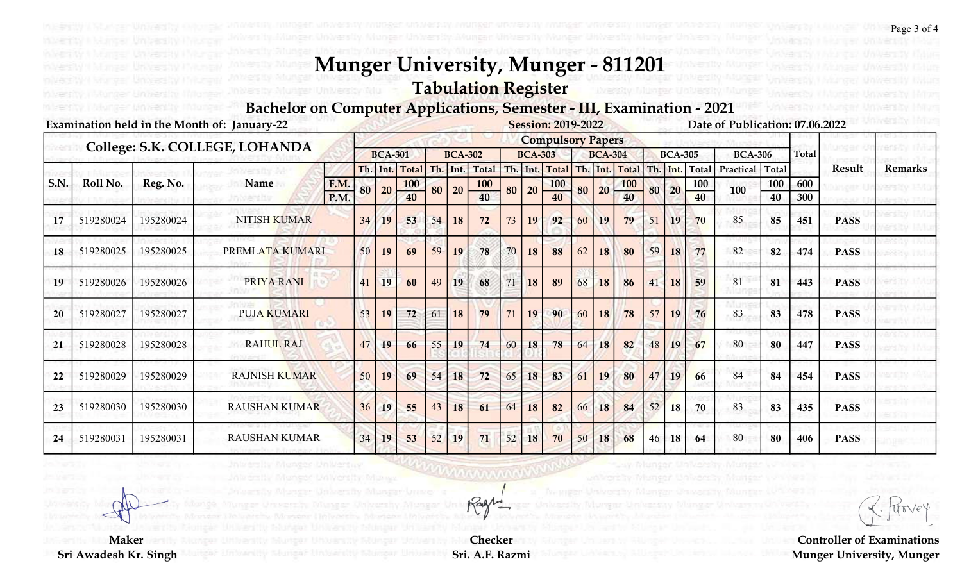Tabulation Register

Bachelor on Computer Applications, Semester - III, Examination - 2021

|      |           |           | Examination held in the Month of: January-22 |              |    |                |                  |    |                |           |    |                | <b>Session: 2019-2022</b>     |    |                |                  |     |                |              | Date of Publication: 07.06.2022 |              |              |             |                |
|------|-----------|-----------|----------------------------------------------|--------------|----|----------------|------------------|----|----------------|-----------|----|----------------|-------------------------------|----|----------------|------------------|-----|----------------|--------------|---------------------------------|--------------|--------------|-------------|----------------|
|      |           |           | College: S.K. COLLEGE, LOHANDA               |              |    |                |                  |    |                |           |    |                | <b>Compulsory Papers</b>      |    |                |                  |     |                |              |                                 |              |              |             |                |
|      |           |           |                                              |              |    | <b>BCA-301</b> |                  |    | <b>BCA-302</b> |           |    | <b>BCA-303</b> |                               |    | <b>BCA-304</b> |                  |     | <b>BCA-305</b> |              | <b>BCA-306</b>                  |              | <b>Total</b> |             |                |
|      |           |           |                                              |              |    | Th. Int.       | <b>Total</b>     |    | Th. Int.       | Total     |    |                | Th. Int. Total Th. Int. Total |    |                |                  | Th. | Int.           | <b>Total</b> | Practical                       | <b>Total</b> |              | Result      | <b>Remarks</b> |
| S.N. | Roll No.  | Reg. No.  | Name                                         | F.M.<br>P.M. | 80 | 20             | <b>100</b><br>40 | 80 | 20             | 100<br>40 | 80 | 20             | <b>100</b><br>40              | 80 | 20             | <b>100</b><br>40 | 80  | 20             | 100<br>40    | 100                             | 100<br>40    | 600<br>300   |             |                |
| 17   | 519280024 | 195280024 | <b>NITISH KUMAR</b>                          |              | 34 | 19             | 53               | 54 | 18             | 72        | 73 | 19             | 92                            | 60 | 19             | 79               | 51  | 19             | 70           | 85                              | 85           | 451          | <b>PASS</b> |                |
| 18   | 519280025 | 195280025 | PREMLATA KUMARI                              |              | 50 | 19             | 69               | 59 | 19             | 78        | 70 | 18             | 88                            | 62 | 18             | 80               | 59  | 18             | 77           | 82                              | 82           | 474          | <b>PASS</b> |                |
| 19   | 519280026 | 195280026 | PRIYA RANI                                   |              | 41 | 19             | 60               | 49 | 19             | 68        | 71 | 18             | 89                            | 68 | 18             | 86               | 41  | 18             | 59           | 81                              | 81           | 443          | <b>PASS</b> |                |
| 20   | 519280027 | 195280027 | <b>PUJA KUMARI</b>                           |              | 53 | 19             | 72               | 61 | 18             | 79        | 71 | 19             | 90                            | 60 | 18             | 78               | 57  | 19             | 76           | 83                              | 83           | 478          | <b>PASS</b> |                |
| 21   | 519280028 | 195280028 | <b>RAHUL RAJ</b>                             |              | 47 | 19             | 66               | 55 | 19             | 74        | 60 | 18             | 78                            | 64 | 18             | 82               | 48  | 19             | 67           | 80                              | 80           | 447          | <b>PASS</b> |                |
| 22   | 519280029 | 195280029 | <b>RAJNISH KUMAR</b>                         |              | 50 | 19             | 69               | 54 | 18             | 72        | 65 | 18             | 83                            | 61 | 19             | 80               | 47  | 19             | 66           | 84                              | 84           | 454          | <b>PASS</b> |                |
| 23   | 519280030 | 195280030 | <b>RAUSHAN KUMAR</b>                         |              | 36 | <b>19</b>      | 55               | 43 | 18             | 61        | 64 | 18             | 82                            | 66 | 18             | 84               | 52  | <b>18</b>      | 70           | 83                              | 83           | 435          | <b>PASS</b> |                |
| 24   | 519280031 | 195280031 | <b>RAUSHAN KUMAR</b>                         |              | 34 | 19             | 53               | 52 | 19             | 71        | 52 | 18             | 70                            | 50 | 18             | 68               | 46  | 18             | 64           | 80                              | 80           | 406          | <b>PASS</b> |                |

Controller of Examinations Munger University, Munger

 Maker Sri Awadesh Kr. Singh

Checker Sri. A.F. Razmi

Wwwww

Rage

Monger UnWertwy

Page 3 of 4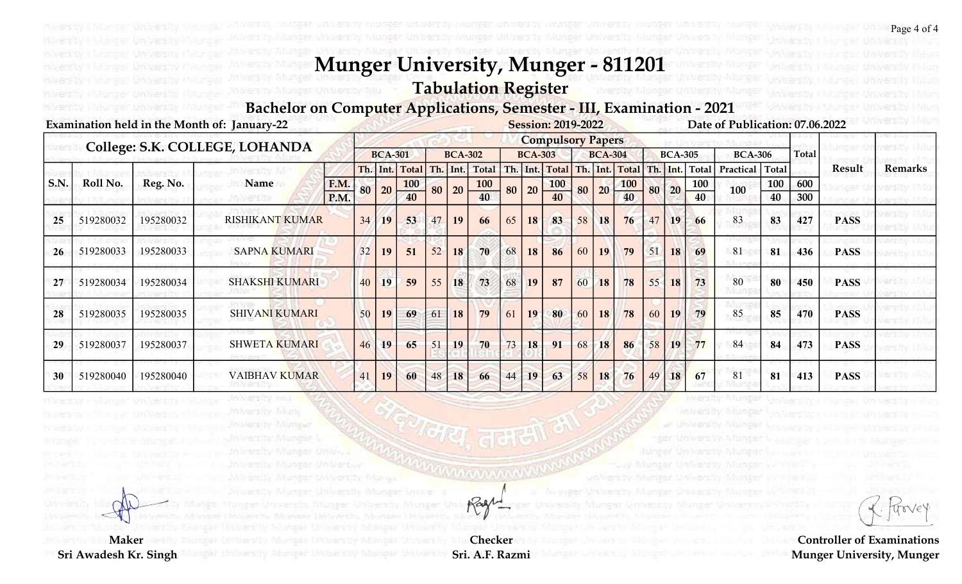Tabulation Register

**IUNNessy MIU** 

Weersley Mung

Insersity Munteer

Monter UnWertuy

Bachelor on Computer Applications, Semester - III, Examination - 2021

|      |           |           | Examination held in the Month of: January-22 |      |    |                |                            |    |                |                       |    |                | <b>Session: 2019-2022</b> |    |                 |                               |    |                |                            | Date of Publication: 07.06.2022 |                     |              |             |                |
|------|-----------|-----------|----------------------------------------------|------|----|----------------|----------------------------|----|----------------|-----------------------|----|----------------|---------------------------|----|-----------------|-------------------------------|----|----------------|----------------------------|---------------------------------|---------------------|--------------|-------------|----------------|
|      |           |           | College: S.K. COLLEGE, LOHANDA               |      |    |                |                            |    |                |                       |    |                | <b>Compulsory Papers</b>  |    |                 |                               |    |                |                            |                                 |                     |              |             |                |
|      |           |           |                                              |      |    | <b>BCA-301</b> |                            |    | <b>BCA-302</b> |                       |    | <b>BCA-303</b> |                           |    | <b>BCA-304</b>  |                               |    | <b>BCA-305</b> |                            | <b>BCA-306</b>                  |                     | <b>Total</b> |             |                |
| S.N. | Roll No.  | Reg. No.  | Name                                         | F.M. |    | Th. Int.       | <b>Total</b><br><b>100</b> |    | Th. Int.       | Total  <br><b>100</b> |    |                |                           |    |                 | Th. Int. Total Th. Int. Total |    | Th. Int.       | <b>Total</b><br><b>100</b> | Practical                       | <b>Total</b><br>100 | 600          | Result      | <b>Remarks</b> |
|      |           |           |                                              | P.M. | 80 | 20             | 40                         | 80 | 20             | 40                    | 80 | 20             | <b>100</b><br>40          | 80 | 20 <sup>1</sup> | <b>100</b><br>40              | 80 | 20             | 40                         | 100                             | 40                  | 300          |             |                |
| 25   | 519280032 | 195280032 | <b>RISHIKANT KUMAR</b>                       |      | 34 | 19             | 53                         | 47 | 19             | 66                    | 65 | 18             | 83                        | 58 | 18              | 76                            | 47 | 19             | 66                         | 83                              | 83                  | 427          | <b>PASS</b> |                |
| 26   | 519280033 | 195280033 | <b>SAPNA KUMARI</b>                          |      | 32 | 19             | 51                         | 52 | 18             | 70                    | 68 | 18             | 86                        | 60 | 19              | 79                            | 51 | 18             | 69                         | 81                              | 81                  | 436          | <b>PASS</b> |                |
| 27   | 519280034 | 195280034 | <b>SHAKSHI KUMARI</b>                        |      | 40 | 19             | 59                         | 55 | 18             | 73                    | 68 | 19             | 87                        | 60 | 18              | 78                            | 55 | 18             | 73                         | 80                              | 80                  | 450          | <b>PASS</b> |                |
| 28   | 519280035 | 195280035 | <b>SHIVANI KUMARI</b>                        |      | 50 | 19             | 69                         | 61 | <b>18</b>      | 79                    | 61 | 19             | 80                        | 60 | 18              | 78                            | 60 | 19             | 79                         | 85                              | 85                  | 470          | <b>PASS</b> |                |
| 29   | 519280037 | 195280037 | <b>SHWETA KUMARI</b>                         |      | 46 | 19             | 65                         | 51 | 19             | 70                    | 73 | 18             | 91                        | 68 | 18              | 86                            | 58 | 19             | 77                         | 84                              | 84                  | 473          | <b>PASS</b> |                |
| 30   | 519280040 | 195280040 | VAIBHAV KUMAR                                |      | 41 | 19             | 60                         | 48 | 18             | 66                    | 44 | 19             | 63                        | 58 | 18              | 76                            | 49 | 18             | 67                         | 81                              | 81                  | 413          | <b>PASS</b> |                |

Maker

Sri Awadesh Kr. Singh

Checker Sri. A.F. Razmi

mananna

Rage

Controller of Examinations Munger University, Munger

inhersity Alungs

Page 4 of 4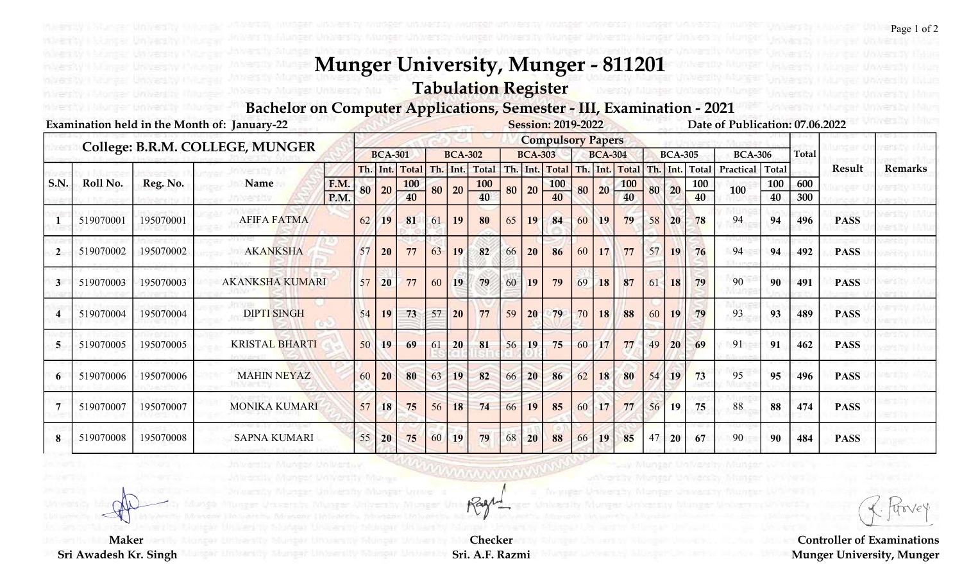Tabulation Register

Bachelor on Computer Applications, Semester - III, Examination - 2021

|                |           |           | Examination held in the Month of: January-22 |              |    |                |                  |                  |                |           |    |                 | <b>Session: 2019-2022</b>     |    |                |                  |     |                |           | Date of Publication: 07.06.2022 |              |              |               |                |
|----------------|-----------|-----------|----------------------------------------------|--------------|----|----------------|------------------|------------------|----------------|-----------|----|-----------------|-------------------------------|----|----------------|------------------|-----|----------------|-----------|---------------------------------|--------------|--------------|---------------|----------------|
|                |           |           | College: B.R.M. COLLEGE, MUNGER              |              |    |                |                  |                  |                |           |    |                 | <b>Compulsory Papers</b>      |    |                |                  |     |                |           |                                 |              |              |               |                |
|                |           |           |                                              |              |    | <b>BCA-301</b> |                  |                  | <b>BCA-302</b> |           |    | <b>BCA-303</b>  |                               |    | <b>BCA-304</b> |                  |     | <b>BCA-305</b> |           | <b>BCA-306</b>                  |              | <b>Total</b> |               |                |
|                |           |           |                                              |              |    | Th. Int.       | <b>Total</b>     |                  | Th. Int.       | Total     |    |                 | Th. Int. Total Th. Int. Total |    |                |                  | Th. | Int.           | Total     | Practical                       | <b>Total</b> |              | <b>Result</b> | <b>Remarks</b> |
| S.N.           | Roll No.  | Reg. No.  | Name                                         | F.M.<br>P.M. | 80 | 20             | <b>100</b><br>40 | 80               | 20             | 100<br>40 | 80 | 20              | <b>100</b><br>40              | 80 | 20             | <b>100</b><br>40 | 80  | 20             | 100<br>40 | 100                             | 100<br>40    | 600<br>300   |               |                |
|                | 519070001 | 195070001 | <b>AFIFA FATMA</b>                           |              | 62 | 19             | 81               | 61               | 19             | 80        | 65 | 19              | 84                            | 60 | 19             | 79               | 58  | 20             | 78        | 94                              | 94           | 496          | <b>PASS</b>   |                |
| $\overline{2}$ | 519070002 | 195070002 | <b>AKANKSHA</b>                              |              | 57 | 20             | 77               | 63               | 19             | 82        | 66 | 20 <sup>°</sup> | 86                            | 60 | 17             | 77               | 57  | 19             | 76        | 94                              | 94           | 492          | <b>PASS</b>   |                |
| 3              | 519070003 | 195070003 | <b>AKANKSHA KUMARI</b>                       |              | 57 | 20             | 77               | 60               | 19             | 79        | 60 | <b>19</b>       | 79                            | 69 | 18             | 87               | 61  | 18             | 79        | 90                              | 90           | 491          | <b>PASS</b>   |                |
|                | 519070004 | 195070004 | <b>DIPTI SINGH</b>                           |              | 54 | 19             | 73               | 57               | <b>20</b>      | 77        | 59 | 20              | 79                            | 70 | 18             | 88               | 60  | 19             | 79        | 93                              | 93           | 489          | <b>PASS</b>   |                |
| 5              | 519070005 | 195070005 | <b>KRISTAL BHARTI</b>                        |              | 50 | 19             | 69               | 61               | 20             | 81        | 56 | 19              | 75                            | 60 | 17             | 77               | 49  | 20             | 69        | 91                              | 91           | 462          | <b>PASS</b>   |                |
|                | 519070006 | 195070006 | <b>MAHIN NEYAZ</b>                           |              | 60 | 20             | 80               | 63               | 19             | 82        | 66 | 20              | 86                            | 62 | 18             | 80               | 54  | 19             | 73        | 95                              | 95           | 496          | <b>PASS</b>   |                |
|                | 519070007 | 195070007 | <b>MONIKA KUMARI</b>                         |              | 57 | 18             | 75               | 56               | 18             | 74        | 66 | 19              | 85                            | 60 | 17             | 77               | 56  | <b>19</b>      | 75        | 88                              | 88           | 474          | <b>PASS</b>   |                |
|                | 519070008 | 195070008 | <b>SAPNA KUMARI</b>                          |              | 55 | 20             | 75               | .60 <sub>1</sub> | 19             | 79        | 68 | 20              | 88                            | 66 | 19             | 85               | 47  | 20             | 67        | 90                              | 90           | 484          | <b>PASS</b>   |                |

Controller of Examinations Munger University, Munger

 Maker Sri Awadesh Kr. Singh

Checker Sri. A.F. Razmi

Wwwww

Rage

Monger UnWertwy

Page 1 of 2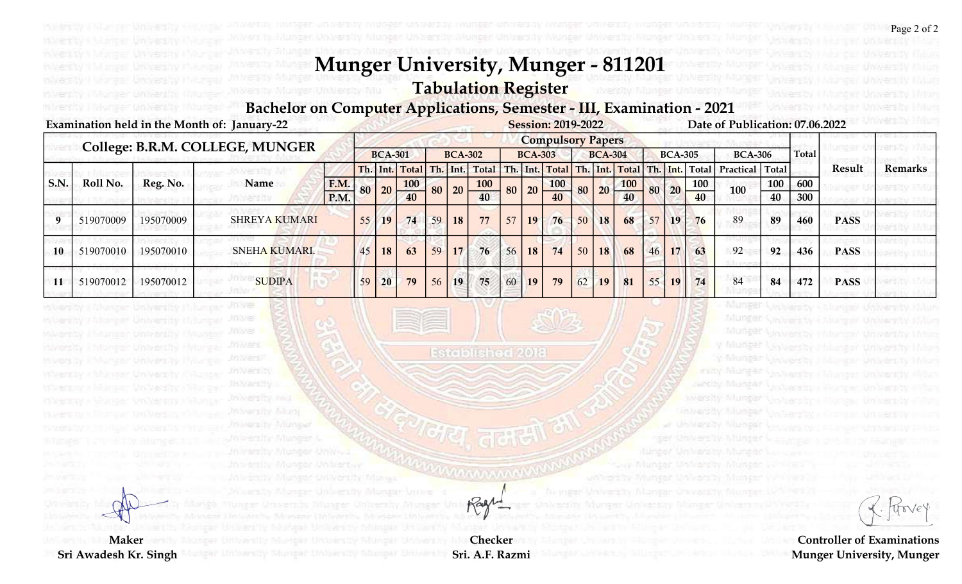Tabulation Register

University Miu

Bachelor on Computer Applications, Semester - III, Examination - 2021

#### Examination held in the Month of: January-22 Session: 2019-2022 Date of Publication: 07.06.2022

milversity, i follonger timinessity

|                  |                                       |           | College: B.R.M. COLLEGE, MUNGER                                                                                                                                           |                            |    |                |                                    |                |                |                            |    |                               | <b>Compulsory Papers</b>         |                 |                   |                             |    |                |                                  |                                                                                                                             |           |              |               |                                                                       |
|------------------|---------------------------------------|-----------|---------------------------------------------------------------------------------------------------------------------------------------------------------------------------|----------------------------|----|----------------|------------------------------------|----------------|----------------|----------------------------|----|-------------------------------|----------------------------------|-----------------|-------------------|-----------------------------|----|----------------|----------------------------------|-----------------------------------------------------------------------------------------------------------------------------|-----------|--------------|---------------|-----------------------------------------------------------------------|
|                  |                                       |           |                                                                                                                                                                           |                            |    | <b>BCA-301</b> |                                    |                | <b>BCA-302</b> |                            |    | <b>BCA-303</b>                |                                  |                 | <b>BCA-304</b>    |                             |    | <b>BCA-305</b> |                                  | <b>BCA-306</b>                                                                                                              |           | <b>Total</b> |               |                                                                       |
| S.N.             | Roll No.                              | Reg. No.  | Name                                                                                                                                                                      | F.M.<br>P.M.               | 80 | <b>20</b>      | Th. Int. Total<br><b>100</b><br>40 | Th. Int.<br>80 | 20             | Total<br><b>100</b><br>40  |    | Th. Int.<br>$80 \mid 20 \mid$ | <b>Total</b><br><b>100</b><br>40 |                 | Th. Int.<br>80 20 | Total Th. Int.<br>100<br>40 |    | 80 20          | <b>Total</b><br><b>100</b><br>40 | Practical Total<br>100                                                                                                      | 100<br>40 | 600<br>300   | <b>Result</b> | <b>Remarks</b>                                                        |
| $\boldsymbol{9}$ | 519070009                             | 195070009 | <b>SHREYA KUMARI</b>                                                                                                                                                      |                            | 55 | <b>19</b>      | 74                                 | 59             | 18             | 77                         | 57 | 19 <sup>°</sup>               | 76                               | 50              | <b>18</b>         | 68                          | 57 | <b>19</b>      | 76                               | 89                                                                                                                          | 89        | 460          | <b>PASS</b>   |                                                                       |
| 10               | 519070010                             | 195070010 | <b>SNEHA KUMARI.</b>                                                                                                                                                      |                            | 45 | <b>18</b>      | 63                                 | 59             | 17             | 76                         | 56 | 18                            | 74                               | 50 <sup>1</sup> | 18                | 68                          | 46 | 17             | 63                               | 92                                                                                                                          | 92        | 436          | <b>PASS</b>   | resto i Mu                                                            |
| 11               | 519070012                             | 195070012 | <b>SUDIPA</b>                                                                                                                                                             |                            | 59 | 20             | 79                                 | 56             | 19             | 75                         | 60 | <b>19</b>                     | 79                               | 62              | <b>19</b>         | 81                          | 55 | 19             | 74                               | 84                                                                                                                          | 84        | 472          | <b>PASS</b>   |                                                                       |
|                  |                                       |           | Jh Vari Hy<br>In versity and<br>Moversity Muny<br>Insiers by Munger<br>hirestiv Mungur L<br>NIMBER IN MODERAL UD New<br>versity Monger Un Wertuy<br>Monger VAWersty Mouvy |                            |    |                |                                    |                |                |                            |    |                               |                                  |                 |                   |                             |    |                | in bentity                       | lunsity Munder<br><b>Marshy Munical</b><br>Vensiy Albas<br>United Waldfilms<br>un iversity, hiuture<br>INGAF WAWAACOO NGONG |           |              |               |                                                                       |
|                  |                                       |           |                                                                                                                                                                           | University Pilupper Univer |    |                |                                    |                |                | Rage                       |    |                               |                                  |                 |                   |                             |    |                |                                  | Manyar Chiverson William                                                                                                    |           |              |               |                                                                       |
|                  | <b>Maker</b><br>Sri Awadesh Kr. Singh |           | snovenity insurance university                                                                                                                                            |                            |    |                |                                    |                |                | Checker<br>Sri. A.F. Razmi |    |                               |                                  |                 |                   |                             |    |                |                                  |                                                                                                                             |           |              |               | <b>Controller of Examinations</b><br><b>Munger University, Munger</b> |

Page 2 of 2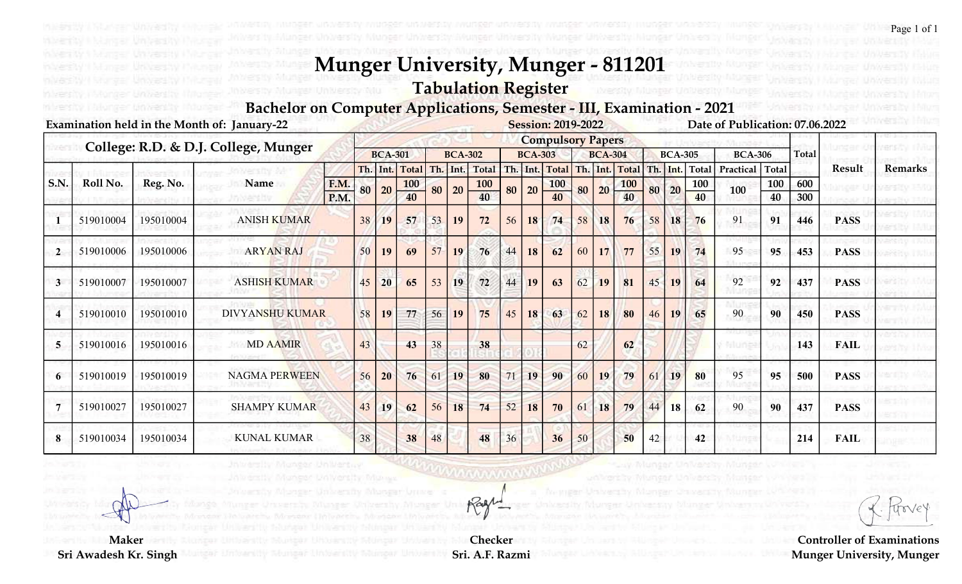Tabulation Register

Bachelor on Computer Applications, Semester - III, Examination - 2021

|                |           |           | Examination held in the Month of: January-22 |             |    |                 |              |    |                |              |    |                | <b>Session: 2019-2022</b> |     |                |            |     |                |              | Date of Publication: 07.06.2022 |              |              |               |                |
|----------------|-----------|-----------|----------------------------------------------|-------------|----|-----------------|--------------|----|----------------|--------------|----|----------------|---------------------------|-----|----------------|------------|-----|----------------|--------------|---------------------------------|--------------|--------------|---------------|----------------|
|                |           |           | College: R.D. & D.J. College, Munger         |             |    |                 |              |    |                |              |    |                | <b>Compulsory Papers</b>  |     |                |            |     |                |              |                                 |              |              |               |                |
|                |           |           |                                              |             |    | <b>BCA-301</b>  |              |    | <b>BCA-302</b> |              |    | <b>BCA-303</b> |                           |     | <b>BCA-304</b> |            |     | <b>BCA-305</b> |              | <b>BCA-306</b>                  |              | <b>Total</b> |               |                |
|                |           |           |                                              |             |    | Th. Int.        | <b>Total</b> |    | Th. Int.       | <b>Total</b> |    |                | Th. Int. Total            | Th. |                | Int. Total | Th. | Int.           | <b>Total</b> | Practical                       | <b>Total</b> |              | <b>Result</b> | <b>Remarks</b> |
| S.N.           | Roll No.  | Reg. No.  | <b>Name</b>                                  | <b>F.M.</b> | 80 | 20              | <b>100</b>   | 80 | 20             | <b>100</b>   | 80 | 20             | <b>100</b>                | 80  | 20             | <b>100</b> | 80  | 20             | 100          | 100                             | 100          | 600          |               |                |
|                |           |           |                                              | P.M.        |    |                 | 40           |    |                | 40           |    |                | 40                        |     |                | 40         |     |                | 40           |                                 | 40           | 300          |               |                |
|                | 519010004 | 195010004 | <b>ANISH KUMAR</b>                           |             | 38 | 19              | 57           | 53 | 19             | 72           | 56 | 18             | 74                        | 58  | 18             | 76         | 58  | 18             | 76           | 91                              | 91           | 446          | <b>PASS</b>   |                |
| $\overline{2}$ | 519010006 | 195010006 | <b>ARYAN RAJ</b>                             |             | 50 | 19              | 69           | 57 | 19             | 76           | 44 | 18             | 62                        | 60  | 17             | 77         | 55  | 19             | 74           | 95                              | 95           | 453          | <b>PASS</b>   |                |
| $\mathbf{3}$   | 519010007 | 195010007 | <b>ASHISH KUMAR</b>                          |             | 45 | 20              | 65           | 53 | 19             | 72           | 44 | 19             | 63                        | 62  | 19             | 81         | 45  | 19             | 64           | 92                              | 92           | 437          | <b>PASS</b>   |                |
|                | 519010010 | 195010010 | <b>DIVYANSHU KUMAR</b>                       |             | 58 | 19              | 77           | 56 | <b>19</b>      | 75           | 45 | 18             | 63                        | 62  | 18             | 80         | 46  | 19             | 65           | 90                              | 90           | 450          | <b>PASS</b>   |                |
| 5              | 519010016 | 195010016 | <b>MD AAMIR</b>                              |             | 43 |                 | 43           | 38 |                | 38           |    |                |                           | 62  |                | 62         |     |                |              |                                 |              | 143          | <b>FAIL</b>   |                |
|                | 519010019 | 195010019 | <b>NAGMA PERWEEN</b>                         |             | 56 | 20 <sup>°</sup> | 76           | 61 | 19             | 80           | 71 | 19             | 90                        | 60  | 19             | 79         | 61  | 19             | 80           | 95                              | 95           | 500          | <b>PASS</b>   |                |
|                | 519010027 | 195010027 | <b>SHAMPY KUMAR</b>                          |             | 43 | 19              | 62           | 56 | 18             | 74           | 52 | 18             | 70                        | 61  | 18             | 79         | 44  | <b>18</b>      | 62           | 90                              | 90           | 437          | <b>PASS</b>   |                |
| 8              | 519010034 | 195010034 | <b>KUNAL KUMAR</b>                           |             | 38 |                 | 38           | 48 |                | 48           | 36 |                | 36                        | 50  |                | 50         | 42  |                | 42           |                                 |              | 214          | <b>FAIL</b>   |                |

Controller of Examinations Munger University, Munger

 Maker Sri Awadesh Kr. Singh

Checker Sri. A.F. Razmi

wwww

Ragn

Monger UnWertur

Page 1 of 1